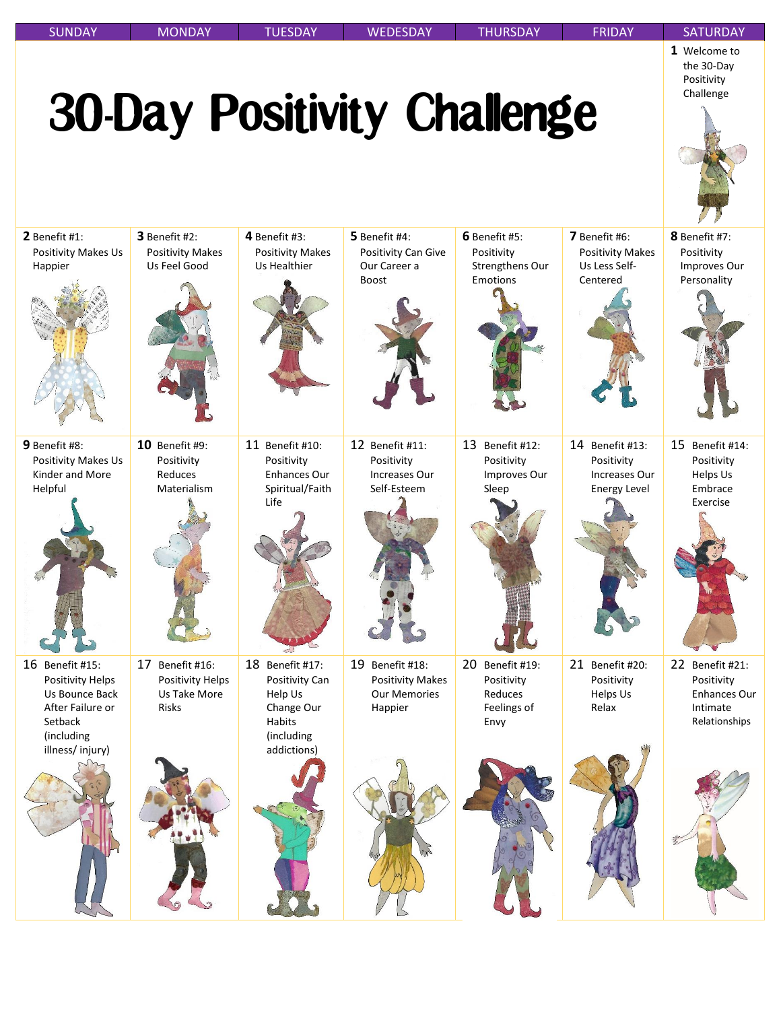| <b>SUNDAY</b>                                                                                                                | <b>MONDAY</b>                                                       | <b>TUESDAY</b>                                                                                           | <b>WEDESDAY</b>                                                              | <b>THURSDAY</b>                                                    | <b>FRIDAY</b>                                                         | <b>SATURDAY</b>                                                                   |
|------------------------------------------------------------------------------------------------------------------------------|---------------------------------------------------------------------|----------------------------------------------------------------------------------------------------------|------------------------------------------------------------------------------|--------------------------------------------------------------------|-----------------------------------------------------------------------|-----------------------------------------------------------------------------------|
|                                                                                                                              |                                                                     |                                                                                                          | <b>30-Day Positivity Challenge</b>                                           |                                                                    |                                                                       | 1 Welcome to<br>the 30-Day<br>Positivity<br>Challenge                             |
| $2$ Benefit #1:<br><b>Positivity Makes Us</b><br>Happier                                                                     | 3 Benefit #2:<br><b>Positivity Makes</b><br>Us Feel Good            | 4 Benefit #3:<br><b>Positivity Makes</b><br>Us Healthier                                                 | 5 Benefit #4:<br>Positivity Can Give<br>Our Career a<br><b>Boost</b>         | 6 Benefit #5:<br>Positivity<br>Strengthens Our<br>Emotions         | 7 Benefit #6:<br><b>Positivity Makes</b><br>Us Less Self-<br>Centered | 8 Benefit #7:<br>Positivity<br>Improves Our<br>Personality                        |
| 9 Benefit #8:<br>Positivity Makes Us<br>Kinder and More<br>Helpful                                                           | 10 Benefit #9:<br>Positivity<br>Reduces<br>Materialism              | 11 Benefit #10:<br>Positivity<br>Enhances Our<br>Spiritual/Faith<br>Life                                 | 12 Benefit #11:<br>Positivity<br>Increases Our<br>Self-Esteem                | 13 Benefit #12:<br>Positivity<br>Improves Our<br>Sleep             | 14 Benefit #13:<br>Positivity<br>Increases Our<br><b>Energy Level</b> | 15<br>Benefit #14:<br>Positivity<br>Helps Us<br>Embrace<br>Exercise               |
|                                                                                                                              |                                                                     |                                                                                                          |                                                                              |                                                                    |                                                                       |                                                                                   |
| 16 Benefit #15:<br><b>Positivity Helps</b><br>Us Bounce Back<br>After Failure or<br>Setback<br>(including<br>illness/injury) | 17 Benefit #16:<br>Positivity Helps<br>Us Take More<br><b>Risks</b> | 18 Benefit #17:<br>Positivity Can<br>Help Us<br>Change Our<br><b>Habits</b><br>(including<br>addictions) | 19 Benefit #18:<br><b>Positivity Makes</b><br><b>Our Memories</b><br>Happier | 20<br>Benefit #19:<br>Positivity<br>Reduces<br>Feelings of<br>Envy | 21 Benefit #20:<br>Positivity<br><b>Helps Us</b><br>Relax             | 22 Benefit #21:<br>Positivity<br><b>Enhances Our</b><br>Intimate<br>Relationships |
|                                                                                                                              |                                                                     |                                                                                                          |                                                                              |                                                                    |                                                                       |                                                                                   |